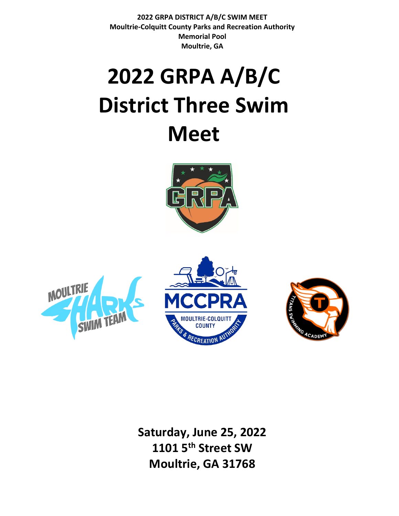# **2022 GRPA A/B/C District Three Swim Meet**







**Saturday, June 25, 2022 1101 5 th Street SW Moultrie, GA 31768**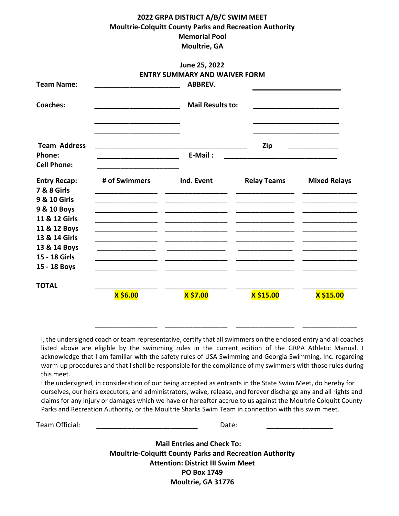|                                                                                                                                                                                 |               | June 25, 2022                        |                    |                                              |
|---------------------------------------------------------------------------------------------------------------------------------------------------------------------------------|---------------|--------------------------------------|--------------------|----------------------------------------------|
|                                                                                                                                                                                 |               | <b>ENTRY SUMMARY AND WAIVER FORM</b> |                    |                                              |
| <b>Team Name:</b>                                                                                                                                                               |               | <b>ABBREV.</b>                       |                    |                                              |
| <b>Coaches:</b>                                                                                                                                                                 |               | <b>Mail Results to:</b>              |                    |                                              |
| <b>Team Address</b><br>Phone:<br><b>Cell Phone:</b>                                                                                                                             |               | E-Mail:                              | Zip                | the control of the control of the control of |
| <b>Entry Recap:</b><br><b>7 &amp; 8 Girls</b><br>9 & 10 Girls<br>9 & 10 Boys<br>11 & 12 Girls<br>11 & 12 Boys<br>13 & 14 Girls<br>13 & 14 Boys<br>15 - 18 Girls<br>15 - 18 Boys | # of Swimmers | Ind. Event                           | <b>Relay Teams</b> | <b>Mixed Relays</b>                          |
| <b>TOTAL</b>                                                                                                                                                                    | X \$6.00      | X \$7.00                             | X \$15.00          | X \$15.00                                    |

I, the undersigned coach or team representative, certify that all swimmers on the enclosed entry and all coaches listed above are eligible by the swimming rules in the current edition of the GRPA Athletic Manual. I acknowledge that I am familiar with the safety rules of USA Swimming and Georgia Swimming, Inc. regarding warm-up procedures and that I shall be responsible for the compliance of my swimmers with those rules during this meet.

I the undersigned, in consideration of our being accepted as entrants in the State Swim Meet, do hereby for ourselves, our heirs executors, and administrators, waive, release, and forever discharge any and all rights and claims for any injury or damages which we have or hereafter accrue to us against the Moultrie Colquitt County Parks and Recreation Authority, or the Moultrie Sharks Swim Team in connection with this swim meet.

Team Official: **Example 20** and the Date: **Date:**  $\blacksquare$ 

**\_\_\_\_\_\_\_\_\_\_\_\_\_\_\_\_ \_\_\_\_\_\_\_\_\_\_\_\_\_\_\_\_ \_\_\_\_\_\_\_\_\_\_\_\_\_\_\_ \_\_\_\_\_\_\_\_\_\_\_\_\_\_**

**Mail Entries and Check To: Moultrie-Colquitt County Parks and Recreation Authority Attention: District III Swim Meet PO Box 1749 Moultrie, GA 31776**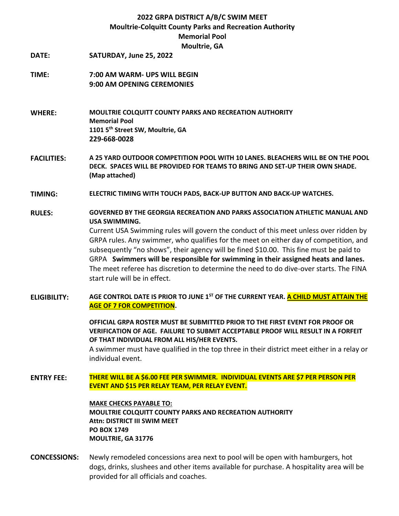**DATE: SATURDAY, June 25, 2022**

## **TIME: 7:00 AM WARM- UPS WILL BEGIN 9:00 AM OPENING CEREMONIES**

**WHERE: MOULTRIE COLQUITT COUNTY PARKS AND RECREATION AUTHORITY Memorial Pool 1101 5th Street SW, Moultrie, GA 229-668-0028** 

**FACILITIES: A 25 YARD OUTDOOR COMPETITION POOL WITH 10 LANES. BLEACHERS WILL BE ON THE POOL DECK. SPACES WILL BE PROVIDED FOR TEAMS TO BRING AND SET-UP THEIR OWN SHADE. (Map attached)**

**TIMING: ELECTRIC TIMING WITH TOUCH PADS, BACK-UP BUTTON AND BACK-UP WATCHES.**

- **RULES: GOVERNED BY THE GEORGIA RECREATION AND PARKS ASSOCIATION ATHLETIC MANUAL AND USA SWIMMING.**  Current USA Swimming rules will govern the conduct of this meet unless over ridden by GRPA rules. Any swimmer, who qualifies for the meet on either day of competition, and subsequently "no shows", their agency will be fined \$10.00. This fine must be paid to GRPA **Swimmers will be responsible for swimming in their assigned heats and lanes.** The meet referee has discretion to determine the need to do dive-over starts. The FINA start rule will be in effect.
- **ELIGIBILITY: AGE CONTROL DATE IS PRIOR TO JUNE 1ST OF THE CURRENT YEAR. A CHILD MUST ATTAIN THE AGE OF 7 FOR COMPETITION.**

**OFFICIAL GRPA ROSTER MUST BE SUBMITTED PRIOR TO THE FIRST EVENT FOR PROOF OR VERIFICATION OF AGE. FAILURE TO SUBMIT ACCEPTABLE PROOF WILL RESULT IN A FORFEIT OF THAT INDIVIDUAL FROM ALL HIS/HER EVENTS.** 

A swimmer must have qualified in the top three in their district meet either in a relay or individual event.

**ENTRY FEE: THERE WILL BE A \$6.00 FEE PER SWIMMER. INDIVIDUAL EVENTS ARE \$7 PER PERSON PER EVENT AND \$15 PER RELAY TEAM, PER RELAY EVENT.** 

> **MAKE CHECKS PAYABLE TO: MOULTRIE COLQUITT COUNTY PARKS AND RECREATION AUTHORITY Attn: DISTRICT III SWIM MEET PO BOX 1749 MOULTRIE, GA 31776**

**CONCESSIONS:** Newly remodeled concessions area next to pool will be open with hamburgers, hot dogs, drinks, slushees and other items available for purchase. A hospitality area will be provided for all officials and coaches.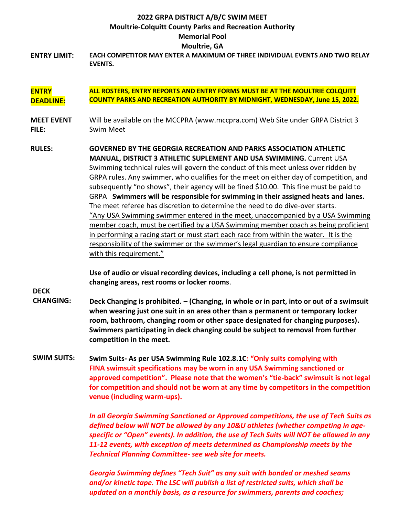**ENTRY LIMIT: EACH COMPETITOR MAY ENTER A MAXIMUM OF THREE INDIVIDUAL EVENTS AND TWO RELAY EVENTS.**

#### **ENTRY DEADLINE: ALL ROSTERS, ENTRY REPORTS AND ENTRY FORMS MUST BE AT THE MOULTRIE COLQUITT COUNTY PARKS AND RECREATION AUTHORITY BY MIDNIGHT, WEDNESDAY, June 15, 2022.**

- **MEET EVENT FILE:**  Will be available on the MCCPRA (www.mccpra.com) Web Site under GRPA District 3 Swim Meet
- **RULES: GOVERNED BY THE GEORGIA RECREATION AND PARKS ASSOCIATION ATHLETIC MANUAL, DISTRICT 3 ATHLETIC SUPLEMENT AND USA SWIMMING.** Current USA Swimming technical rules will govern the conduct of this meet unless over ridden by GRPA rules. Any swimmer, who qualifies for the meet on either day of competition, and subsequently "no shows", their agency will be fined \$10.00. This fine must be paid to GRPA **Swimmers will be responsible for swimming in their assigned heats and lanes.** The meet referee has discretion to determine the need to do dive-over starts. "Any USA Swimming swimmer entered in the meet, unaccompanied by a USA Swimming member coach, must be certified by a USA Swimming member coach as being proficient in performing a racing start or must start each race from within the water. It is the responsibility of the swimmer or the swimmer's legal guardian to ensure compliance with this requirement."

**Use of audio or visual recording devices, including a cell phone, is not permitted in changing areas, rest rooms or locker rooms**.

**DECK** 

- **CHANGING: Deck Changing is prohibited. – (Changing, in whole or in part, into or out of a swimsuit when wearing just one suit in an area other than a permanent or temporary locker room, bathroom, changing room or other space designated for changing purposes). Swimmers participating in deck changing could be subject to removal from further competition in the meet.**
- **SWIM SUITS: Swim Suits- As per USA Swimming Rule 102.8.1C: "Only suits complying with FINA swimsuit specifications may be worn in any USA Swimming sanctioned or approved competition". Please note that the women's "tie-back" swimsuit is not legal for competition and should not be worn at any time by competitors in the competition venue (including warm-ups).**

*In all Georgia Swimming Sanctioned or Approved competitions, the use of Tech Suits as defined below will NOT be allowed by any 10&U athletes (whether competing in agespecific or "Open" events). In addition, the use of Tech Suits will NOT be allowed in any 11-12 events, with exception of meets determined as Championship meets by the Technical Planning Committee- see web site for meets.* 

*Georgia Swimming defines "Tech Suit" as any suit with bonded or meshed seams and/or kinetic tape. The LSC will publish a list of restricted suits, which shall be updated on a monthly basis, as a resource for swimmers, parents and coaches;*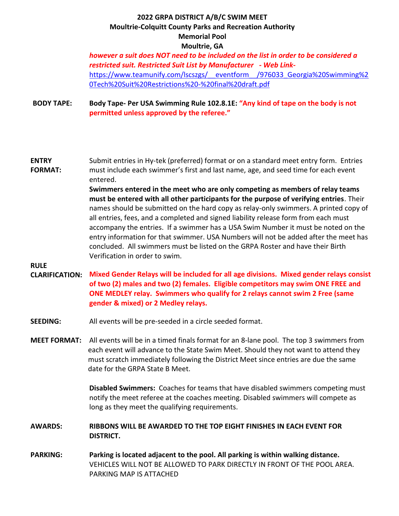*however a suit does NOT need to be included on the list in order to be considered a restricted suit. Restricted Suit List by Manufacturer - Web Link*[https://www.teamunify.com/lscszgs/\\_\\_eventform\\_\\_/976033\\_Georgia%20Swimming%2](https://www.teamunify.com/lscszgs/__eventform__/976033_Georgia%20Swimming%20Tech%20Suit%20Restrictions%20-%20final%20draft.pdf) [0Tech%20Suit%20Restrictions%20-%20final%20draft.pdf](https://www.teamunify.com/lscszgs/__eventform__/976033_Georgia%20Swimming%20Tech%20Suit%20Restrictions%20-%20final%20draft.pdf)

#### **BODY TAPE: Body Tape- Per USA Swimming Rule 102.8.1E: "Any kind of tape on the body is not permitted unless approved by the referee."**

#### **ENTRY FORMAT:**  Submit entries in Hy-tek (preferred) format or on a standard meet entry form. Entries must include each swimmer's first and last name, age, and seed time for each event entered.

**Swimmers entered in the meet who are only competing as members of relay teams must be entered with all other participants for the purpose of verifying entries**. Their names should be submitted on the hard copy as relay-only swimmers. A printed copy of all entries, fees, and a completed and signed liability release form from each must accompany the entries. If a swimmer has a USA Swim Number it must be noted on the entry information for that swimmer. USA Numbers will not be added after the meet has concluded. All swimmers must be listed on the GRPA Roster and have their Birth Verification in order to swim.

## **RULE**

## **CLARIFICATION: Mixed Gender Relays will be included for all age divisions. Mixed gender relays consist of two (2) males and two (2) females. Eligible competitors may swim ONE FREE and ONE MEDLEY relay. Swimmers who qualify for 2 relays cannot swim 2 Free (same gender & mixed) or 2 Medley relays.**

- **SEEDING:** All events will be pre-seeded in a circle seeded format.
- **MEET FORMAT:** All events will be in a timed finals format for an 8-lane pool. The top 3 swimmers from each event will advance to the State Swim Meet. Should they not want to attend they must scratch immediately following the District Meet since entries are due the same date for the GRPA State B Meet.

**Disabled Swimmers:** Coaches for teams that have disabled swimmers competing must notify the meet referee at the coaches meeting. Disabled swimmers will compete as long as they meet the qualifying requirements.

## **AWARDS: RIBBONS WILL BE AWARDED TO THE TOP EIGHT FINISHES IN EACH EVENT FOR DISTRICT.**

**PARKING: Parking is located adjacent to the pool. All parking is within walking distance.**  VEHICLES WILL NOT BE ALLOWED TO PARK DIRECTLY IN FRONT OF THE POOL AREA. PARKING MAP IS ATTACHED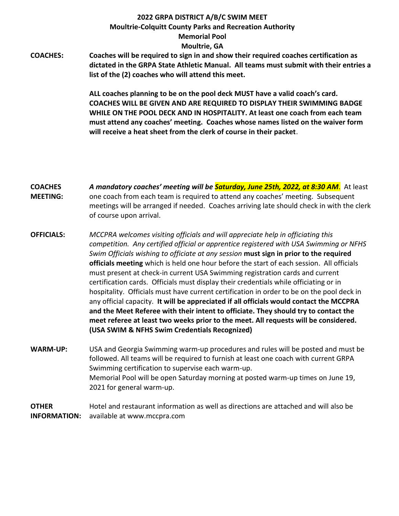**COACHES: Coaches will be required to sign in and show their required coaches certification as dictated in the GRPA State Athletic Manual. All teams must submit with their entries a list of the (2) coaches who will attend this meet.** 

> **ALL coaches planning to be on the pool deck MUST have a valid coach's card. COACHES WILL BE GIVEN AND ARE REQUIRED TO DISPLAY THEIR SWIMMING BADGE WHILE ON THE POOL DECK AND IN HOSPITALITY. At least one coach from each team must attend any coaches' meeting. Coaches whose names listed on the waiver form will receive a heat sheet from the clerk of course in their packet**.

### **COACHES MEETING:**  *A mandatory coaches' meeting will be Saturday, June 25th, 2022, at 8:30 AM*. At least one coach from each team is required to attend any coaches' meeting. Subsequent meetings will be arranged if needed. Coaches arriving late should check in with the clerk of course upon arrival.

- **OFFICIALS:** *MCCPRA welcomes visiting officials and will appreciate help in officiating this competition. Any certified official or apprentice registered with USA Swimming or NFHS Swim Officials wishing to officiate at any session* **must sign in prior to the required officials meeting** which is held one hour before the start of each session. All officials must present at check-in current USA Swimming registration cards and current certification cards. Officials must display their credentials while officiating or in hospitality. Officials must have current certification in order to be on the pool deck in any official capacity. **It will be appreciated if all officials would contact the MCCPRA and the Meet Referee with their intent to officiate. They should try to contact the meet referee at least two weeks prior to the meet. All requests will be considered. (USA SWIM & NFHS Swim Credentials Recognized)**
- **WARM-UP:** USA and Georgia Swimming warm-up procedures and rules will be posted and must be followed. All teams will be required to furnish at least one coach with current GRPA Swimming certification to supervise each warm-up. Memorial Pool will be open Saturday morning at posted warm-up times on June 19, 2021 for general warm-up.

**OTHER INFORMATION:** Hotel and restaurant information as well as directions are attached and will also be available at www.mccpra.com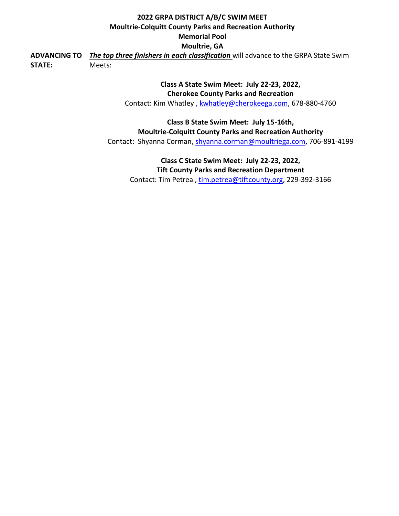**ADVANCING TO**  *The top three finishers in each classification* will advance to the GRPA State Swim **STATE:**  Meets:

> **Class A State Swim Meet: July 22-23, 2022, Cherokee County Parks and Recreation** Contact: Kim Whatley, [kwhatley@cherokeega.com,](mailto:kwhatley@cherokeega.com) 678-880-4760

**Class B State Swim Meet: July 15-16th, Moultrie-Colquitt County Parks and Recreation Authority** Contact: Shyanna Corman, [shyanna.corman@moultriega.com,](mailto:shyanna.corman@moultriega.com) 706-891-4199

**Class C State Swim Meet: July 22-23, 2022, Tift County Parks and Recreation Department** Contact: Tim Petrea , [tim.petrea@tiftcounty.org,](mailto:tim.petrea@tiftcounty.org) 229-392-3166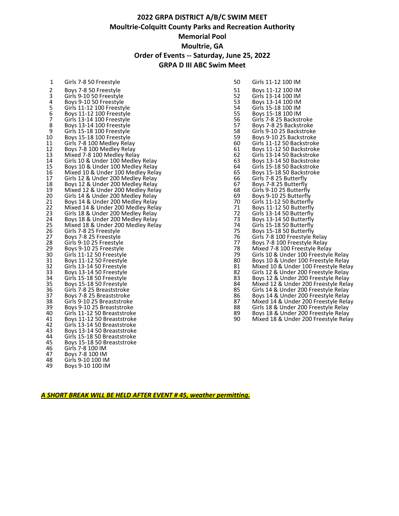# **GRPA DISTRICT A/B/C SWIM MEET Moultrie-Colquitt County Parks and Recreation Authority Memorial Pool Moultrie, GA Order of Events -- Saturday, June 25, 2022 GRPA D III ABC Swim Meet**

| 1                       | Girls 7-8 50 Freestyle            | 50 | Girls 11-12 100 IM                   |
|-------------------------|-----------------------------------|----|--------------------------------------|
| 2                       | Boys 7-8 50 Freestyle             | 51 | Boys 11-12 100 IM                    |
| 3                       | Girls 9-10 50 Freestyle           | 52 | Girls 13-14 100 IM                   |
| $\overline{\mathbf{4}}$ | Boys 9-10 50 Freestyle            | 53 | Boys 13-14 100 IM                    |
| 5                       | Girls 11-12 100 Freestyle         | 54 | Girls 15-18 100 IM                   |
|                         |                                   |    |                                      |
| 6                       | Boys 11-12 100 Freestyle          | 55 | Boys 15-18 100 IM                    |
| $\overline{7}$          | Girls 13-14 100 Freestyle         | 56 | Girls 7-8 25 Backstroke              |
| $\bf 8$                 | Boys 13-14 100 Freestyle          | 57 | Boys 7-8 25 Backstroke               |
| 9                       | Girls 15-18 100 Freestyle         | 58 | Girls 9-10 25 Backstroke             |
| 10                      | Boys 15-18 100 Freestyle          | 59 | Boys 9-10 25 Backstroke              |
| 11                      | Girls 7-8 100 Medley Relay        | 60 | Girls 11-12 50 Backstroke            |
| 12                      | Boys 7-8 100 Medley Relay         | 61 | Boys 11-12 50 Backstroke             |
| 13                      | Mixed 7-8 100 Medley Relay        | 62 | Girls 13-14 50 Backstroke            |
| 14                      | Girls 10 & Under 100 Medley Relay | 63 | Boys 13-14 50 Backstroke             |
| 15                      | Boys 10 & Under 100 Medley Relay  | 64 | Girls 15-18 50 Backstroke            |
| 16                      | Mixed 10 & Under 100 Medley Relay | 65 | Boys 15-18 50 Backstroke             |
| 17                      | Girls 12 & Under 200 Medley Relay | 66 | Girls 7-8 25 Butterfly               |
| 18                      | Boys 12 & Under 200 Medley Relay  | 67 | Boys 7-8 25 Butterfly                |
| 19                      |                                   | 68 |                                      |
| 20                      | Mixed 12 & Under 200 Medley Relay | 69 | Girls 9-10 25 Butterfly              |
|                         | Girls 14 & Under 200 Medley Relay |    | Boys 9-10 25 Butterfly               |
| 21                      | Boys 14 & Under 200 Medley Relay  | 70 | Girls 11-12 50 Butterfly             |
| 22                      | Mixed 14 & Under 200 Medley Relay | 71 | Boys 11-12 50 Butterfly              |
| 23                      | Girls 18 & Under 200 Medley Relay | 72 | Girls 13-14 50 Butterfly             |
| 24                      | Boys 18 & Under 200 Medley Relay  | 73 | Boys 13-14 50 Butterfly              |
| 25                      | Mixed 18 & Under 200 Medley Relay | 74 | Girls 15-18 50 Butterfly             |
| 26                      | Girls 7-8 25 Freestyle            | 75 | Boys 15-18 50 Butterfly              |
| 27                      | Boys 7-8 25 Freestyle             | 76 | Girls 7-8 100 Freestyle Relay        |
| 28                      | Girls 9-10 25 Freestyle           | 77 | Boys 7-8 100 Freestyle Relay         |
| 29                      | Boys 9-10 25 Freestyle            | 78 | Mixed 7-8 100 Freestyle Relay        |
| 30                      | Girls 11-12 50 Freestyle          | 79 | Girls 10 & Under 100 Freestyle Relay |
| 31                      | Boys 11-12 50 Freestyle           | 80 | Boys 10 & Under 100 Freestyle Relay  |
| 32                      | Girls 13-14 50 Freestyle          | 81 | Mixed 10 & Under 100 Freestyle Relay |
| 33                      | Boys 13-14 50 Freestyle           | 82 | Girls 12 & Under 200 Freestyle Relay |
| 34                      | Girls 15-18 50 Freestyle          | 83 | Boys 12 & Under 200 Freestyle Relay  |
| 35                      | Boys 15-18 50 Freestyle           | 84 | Mixed 12 & Under 200 Freestyle Relay |
| 36                      | Girls 7-8 25 Breaststroke         | 85 | Girls 14 & Under 200 Freestyle Relay |
| 37                      | Boys 7-8 25 Breaststroke          | 86 | Boys 14 & Under 200 Freestyle Relay  |
| 38                      | Girls 9-10 25 Breaststroke        | 87 | Mixed 14 & Under 200 Freestyle Relay |
| 39                      | Boys 9-10 25 Breaststroke         | 88 | Girls 18 & Under 200 Freestyle Relay |
| 40                      |                                   | 89 |                                      |
|                         | Girls 11-12 50 Breaststroke       |    | Boys 18 & Under 200 Freestyle Relay  |
| 41                      | Boys 11-12 50 Breaststroke        | 90 | Mixed 18 & Under 200 Freestyle Relay |
| 42                      | Girls 13-14 50 Breaststroke       |    |                                      |
| 43                      | Boys 13-14 50 Breaststroke        |    |                                      |
| 44                      | Girls 15-18 50 Breaststroke       |    |                                      |
| 45                      | Boys 15-18 50 Breaststroke        |    |                                      |
| 46                      | Girls 7-8 100 IM                  |    |                                      |
| 47                      | Boys 7-8 100 IM                   |    |                                      |
| 48                      | Girls 9-10 100 IM                 |    |                                      |
| 49                      | Boys 9-10 100 IM                  |    |                                      |
|                         |                                   |    |                                      |

| Girls 7-8 50 Freestyle            | 50                                                                                                                                                                                                                                                                                                                                                                                                                                                                                                                                                                                                                                                                                                  | Girls 11-12 100 IM                           |
|-----------------------------------|-----------------------------------------------------------------------------------------------------------------------------------------------------------------------------------------------------------------------------------------------------------------------------------------------------------------------------------------------------------------------------------------------------------------------------------------------------------------------------------------------------------------------------------------------------------------------------------------------------------------------------------------------------------------------------------------------------|----------------------------------------------|
| Boys 7-8 50 Freestyle             | 51                                                                                                                                                                                                                                                                                                                                                                                                                                                                                                                                                                                                                                                                                                  | Boys 11-12 100 IM                            |
| Girls 9-10 50 Freestyle           |                                                                                                                                                                                                                                                                                                                                                                                                                                                                                                                                                                                                                                                                                                     | Girls 13-14 100 IM                           |
| Boys 9-10 50 Freestyle            |                                                                                                                                                                                                                                                                                                                                                                                                                                                                                                                                                                                                                                                                                                     | Boys 13-14 100 IM                            |
|                                   | 54                                                                                                                                                                                                                                                                                                                                                                                                                                                                                                                                                                                                                                                                                                  | Girls 15-18 100 IM                           |
| Boys 11-12 100 Freestyle          |                                                                                                                                                                                                                                                                                                                                                                                                                                                                                                                                                                                                                                                                                                     | Boys 15-18 100 IM                            |
| Girls 13-14 100 Freestyle         | 56                                                                                                                                                                                                                                                                                                                                                                                                                                                                                                                                                                                                                                                                                                  | Girls 7-8 25 Backstroke                      |
| Boys 13-14 100 Freestyle          | 57                                                                                                                                                                                                                                                                                                                                                                                                                                                                                                                                                                                                                                                                                                  | Boys 7-8 25 Backstroke                       |
| Girls 15-18 100 Freestyle         | 58                                                                                                                                                                                                                                                                                                                                                                                                                                                                                                                                                                                                                                                                                                  | Girls 9-10 25 Backstroke                     |
| Boys 15-18 100 Freestyle          | 59                                                                                                                                                                                                                                                                                                                                                                                                                                                                                                                                                                                                                                                                                                  | Boys 9-10 25 Backstroke                      |
| Girls 7-8 100 Medley Relay        | 60                                                                                                                                                                                                                                                                                                                                                                                                                                                                                                                                                                                                                                                                                                  | Girls 11-12 50 Backstroke                    |
| Boys 7-8 100 Medley Relay         | 61                                                                                                                                                                                                                                                                                                                                                                                                                                                                                                                                                                                                                                                                                                  | Boys 11-12 50 Backstroke                     |
|                                   | 62                                                                                                                                                                                                                                                                                                                                                                                                                                                                                                                                                                                                                                                                                                  | Girls 13-14 50 Backstroke                    |
|                                   | 63                                                                                                                                                                                                                                                                                                                                                                                                                                                                                                                                                                                                                                                                                                  | Boys 13-14 50 Backstroke                     |
|                                   | 64                                                                                                                                                                                                                                                                                                                                                                                                                                                                                                                                                                                                                                                                                                  | Girls 15-18 50 Backstroke                    |
|                                   | 65                                                                                                                                                                                                                                                                                                                                                                                                                                                                                                                                                                                                                                                                                                  | Boys 15-18 50 Backstroke                     |
| Girls 12 & Under 200 Medley Relay | 66                                                                                                                                                                                                                                                                                                                                                                                                                                                                                                                                                                                                                                                                                                  | Girls 7-8 25 Butterfly                       |
| Boys 12 & Under 200 Medley Relay  | 67                                                                                                                                                                                                                                                                                                                                                                                                                                                                                                                                                                                                                                                                                                  | Boys 7-8 25 Butterfly                        |
|                                   |                                                                                                                                                                                                                                                                                                                                                                                                                                                                                                                                                                                                                                                                                                     | Girls 9-10 25 Butterfly                      |
| Girls 14 & Under 200 Medley Relay | 69                                                                                                                                                                                                                                                                                                                                                                                                                                                                                                                                                                                                                                                                                                  | Boys 9-10 25 Butterfly                       |
|                                   | 70                                                                                                                                                                                                                                                                                                                                                                                                                                                                                                                                                                                                                                                                                                  | Girls 11-12 50 Butterfly                     |
|                                   | 71                                                                                                                                                                                                                                                                                                                                                                                                                                                                                                                                                                                                                                                                                                  | Boys 11-12 50 Butterfly                      |
| Girls 18 & Under 200 Medley Relay | 72                                                                                                                                                                                                                                                                                                                                                                                                                                                                                                                                                                                                                                                                                                  | Girls 13-14 50 Butterfly                     |
|                                   | 73                                                                                                                                                                                                                                                                                                                                                                                                                                                                                                                                                                                                                                                                                                  | Boys 13-14 50 Butterfly                      |
|                                   |                                                                                                                                                                                                                                                                                                                                                                                                                                                                                                                                                                                                                                                                                                     | Girls 15-18 50 Butterfly                     |
|                                   | 75                                                                                                                                                                                                                                                                                                                                                                                                                                                                                                                                                                                                                                                                                                  | Boys 15-18 50 Butterfly                      |
|                                   | 76                                                                                                                                                                                                                                                                                                                                                                                                                                                                                                                                                                                                                                                                                                  | Girls 7-8 100 Freestyle Relay                |
|                                   | 77                                                                                                                                                                                                                                                                                                                                                                                                                                                                                                                                                                                                                                                                                                  | Boys 7-8 100 Freestyle Relay                 |
|                                   |                                                                                                                                                                                                                                                                                                                                                                                                                                                                                                                                                                                                                                                                                                     | Mixed 7-8 100 Freestyle Relay                |
|                                   | 79                                                                                                                                                                                                                                                                                                                                                                                                                                                                                                                                                                                                                                                                                                  | Girls 10 & Under 100 Freestyle Relay         |
|                                   | 80                                                                                                                                                                                                                                                                                                                                                                                                                                                                                                                                                                                                                                                                                                  | Boys 10 & Under 100 Freestyle Relay          |
|                                   |                                                                                                                                                                                                                                                                                                                                                                                                                                                                                                                                                                                                                                                                                                     | Mixed 10 & Under 100 Freestyle Relay         |
|                                   | 82                                                                                                                                                                                                                                                                                                                                                                                                                                                                                                                                                                                                                                                                                                  | Girls 12 & Under 200 Freestyle Relay         |
|                                   | 83                                                                                                                                                                                                                                                                                                                                                                                                                                                                                                                                                                                                                                                                                                  | Boys 12 & Under 200 Freestyle Relay          |
|                                   |                                                                                                                                                                                                                                                                                                                                                                                                                                                                                                                                                                                                                                                                                                     | Mixed 12 & Under 200 Freestyle Relay         |
| Girls 7-8 25 Breaststroke         | 85                                                                                                                                                                                                                                                                                                                                                                                                                                                                                                                                                                                                                                                                                                  | Girls 14 & Under 200 Freestyle Relay         |
|                                   | 86                                                                                                                                                                                                                                                                                                                                                                                                                                                                                                                                                                                                                                                                                                  | Boys 14 & Under 200 Freestyle Relay          |
|                                   | 87                                                                                                                                                                                                                                                                                                                                                                                                                                                                                                                                                                                                                                                                                                  | Mixed 14 & Under 200 Freestyle Relay         |
| Boys 9-10 25 Breaststroke         | 88                                                                                                                                                                                                                                                                                                                                                                                                                                                                                                                                                                                                                                                                                                  | Girls 18 & Under 200 Freestyle Relay         |
| Girls 11-12 50 Breaststroke       | 89                                                                                                                                                                                                                                                                                                                                                                                                                                                                                                                                                                                                                                                                                                  | Boys 18 & Under 200 Freestyle Relay          |
| Boys 11-12 50 Breaststroke        | 90                                                                                                                                                                                                                                                                                                                                                                                                                                                                                                                                                                                                                                                                                                  | Mixed 18 & Under 200 Freestyle Relay         |
|                                   | Girls 11-12 100 Freestyle<br>Mixed 7-8 100 Medley Relay<br>Girls 10 & Under 100 Medley Relay<br>Boys 10 & Under 100 Medley Relay<br>Mixed 10 & Under 100 Medley Relay<br>Mixed 12 & Under 200 Medley Relay<br>Boys 14 & Under 200 Medley Relay<br>Mixed 14 & Under 200 Medley Relay<br>Boys 18 & Under 200 Medley Relay<br>Mixed 18 & Under 200 Medley Relay<br>Girls 7-8 25 Freestyle<br>Boys 7-8 25 Freestyle<br>Girls 9-10 25 Freestyle<br>Boys 9-10 25 Freestyle<br>Girls 11-12 50 Freestyle<br>Boys 11-12 50 Freestyle<br>Girls 13-14 50 Freestyle<br>Boys 13-14 50 Freestyle<br>Girls 15-18 50 Freestyle<br>Boys 15-18 50 Freestyle<br>Boys 7-8 25 Breaststroke<br>Girls 9-10 25 Breaststroke | 52<br>53<br>55<br>68<br>74<br>78<br>81<br>84 |

*A SHORT BREAK WILL BE HELD AFTER EVENT # 45, weather permitting.*